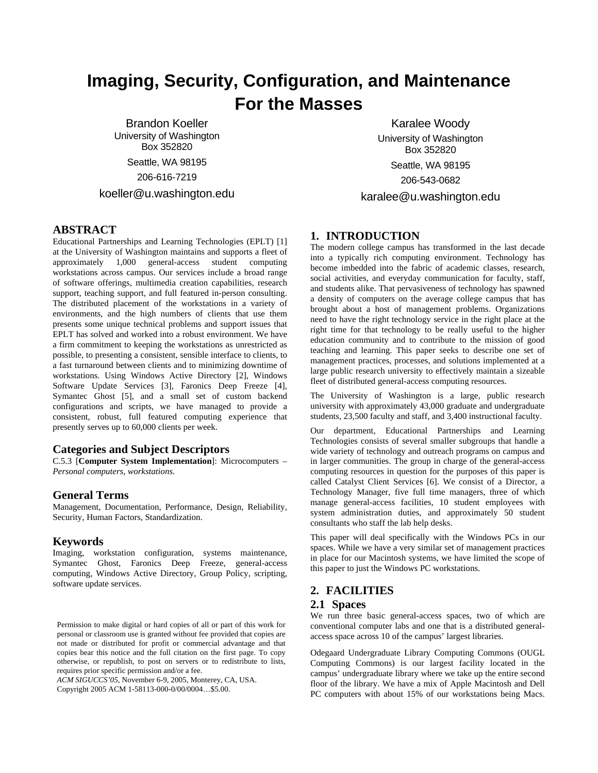# **Imaging, Security, Configuration, and Maintenance For the Masses**

Brandon Koeller University of Washington Box 352820 Seattle, WA 98195 206-616-7219 koeller@u.washington.edu

**ABSTRACT**

Educational Partnerships and Learning Technologies (EPLT) [1] at the University of Washington maintains and supports a fleet of approximately 1,000 general-access student computing workstations across campus. Our services include a broad range of software offerings, multimedia creation capabilities, research support, teaching support, and full featured in-person consulting. The distributed placement of the workstations in a variety of environments, and the high numbers of clients that use them presents some unique technical problems and support issues that EPLT has solved and worked into a robust environment. We have a firm commitment to keeping the workstations as unrestricted as possible, to presenting a consistent, sensible interface to clients, to a fast turnaround between clients and to minimizing downtime of workstations. Using Windows Active Directory [2], Windows Software Update Services [3], Faronics Deep Freeze [4], Symantec Ghost [5], and a small set of custom backend configurations and scripts, we have managed to provide a consistent, robust, full featured computing experience that presently serves up to 60,000 clients per week.

#### **Categories and Subject Descriptors**

C.5.3 [**Computer System Implementation**]: Microcomputers – *Personal computers, workstations.* 

## **General Terms**

Management, Documentation, Performance, Design, Reliability, Security, Human Factors, Standardization.

## **Keywords**

Imaging, workstation configuration, systems maintenance, Symantec Ghost, Faronics Deep Freeze, general-access computing, Windows Active Directory, Group Policy, scripting, software update services.

*ACM SIGUCCS'05*, November 6-9, 2005, Monterey, CA, USA. Copyright 2005 ACM 1-58113-000-0/00/0004…\$5.00.

Box 352820 Seattle, WA 98195 206-543-0682 karalee@u.washington.edu

Karalee Woody University of Washington

## **1. INTRODUCTION**

The modern college campus has transformed in the last decade into a typically rich computing environment. Technology has become imbedded into the fabric of academic classes, research, social activities, and everyday communication for faculty, staff, and students alike. That pervasiveness of technology has spawned a density of computers on the average college campus that has brought about a host of management problems. Organizations need to have the right technology service in the right place at the right time for that technology to be really useful to the higher education community and to contribute to the mission of good teaching and learning. This paper seeks to describe one set of management practices, processes, and solutions implemented at a large public research university to effectively maintain a sizeable fleet of distributed general-access computing resources.

The University of Washington is a large, public research university with approximately 43,000 graduate and undergraduate students, 23,500 faculty and staff, and 3,400 instructional faculty.

Our department, Educational Partnerships and Learning Technologies consists of several smaller subgroups that handle a wide variety of technology and outreach programs on campus and in larger communities. The group in charge of the general-access computing resources in question for the purposes of this paper is called Catalyst Client Services [6]. We consist of a Director, a Technology Manager, five full time managers, three of which manage general-access facilities, 10 student employees with system administration duties, and approximately 50 student consultants who staff the lab help desks.

This paper will deal specifically with the Windows PCs in our spaces. While we have a very similar set of management practices in place for our Macintosh systems, we have limited the scope of this paper to just the Windows PC workstations.

# **2. FACILITIES**

#### **2.1 Spaces**

We run three basic general-access spaces, two of which are conventional computer labs and one that is a distributed generalaccess space across 10 of the campus' largest libraries.

Odegaard Undergraduate Library Computing Commons (OUGL Computing Commons) is our largest facility located in the campus' undergraduate library where we take up the entire second floor of the library. We have a mix of Apple Macintosh and Dell PC computers with about 15% of our workstations being Macs.

Permission to make digital or hard copies of all or part of this work for personal or classroom use is granted without fee provided that copies are not made or distributed for profit or commercial advantage and that copies bear this notice and the full citation on the first page. To copy otherwise, or republish, to post on servers or to redistribute to lists, requires prior specific permission and/or a fee.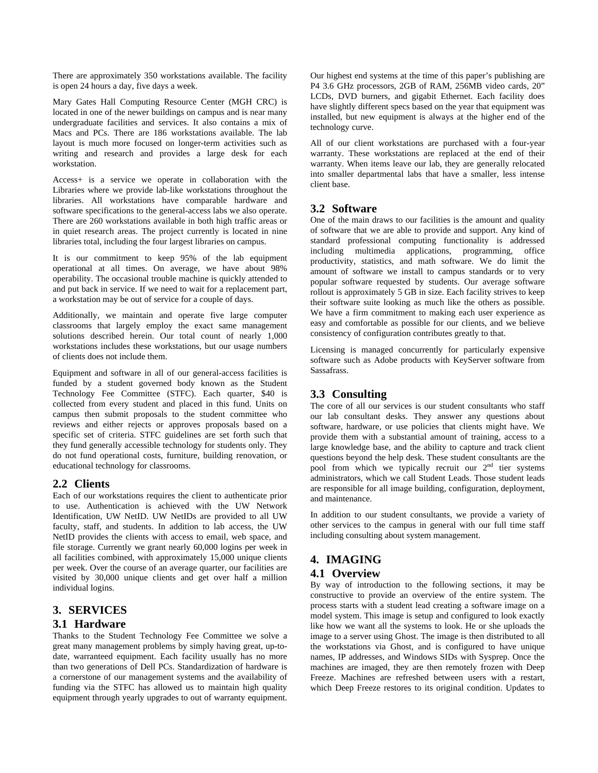There are approximately 350 workstations available. The facility is open 24 hours a day, five days a week.

Mary Gates Hall Computing Resource Center (MGH CRC) is located in one of the newer buildings on campus and is near many undergraduate facilities and services. It also contains a mix of Macs and PCs. There are 186 workstations available. The lab layout is much more focused on longer-term activities such as writing and research and provides a large desk for each workstation.

Access+ is a service we operate in collaboration with the Libraries where we provide lab-like workstations throughout the libraries. All workstations have comparable hardware and software specifications to the general-access labs we also operate. There are 260 workstations available in both high traffic areas or in quiet research areas. The project currently is located in nine libraries total, including the four largest libraries on campus.

It is our commitment to keep 95% of the lab equipment operational at all times. On average, we have about 98% operability. The occasional trouble machine is quickly attended to and put back in service. If we need to wait for a replacement part, a workstation may be out of service for a couple of days.

Additionally, we maintain and operate five large computer classrooms that largely employ the exact same management solutions described herein. Our total count of nearly 1,000 workstations includes these workstations, but our usage numbers of clients does not include them.

Equipment and software in all of our general-access facilities is funded by a student governed body known as the Student Technology Fee Committee (STFC). Each quarter, \$40 is collected from every student and placed in this fund. Units on campus then submit proposals to the student committee who reviews and either rejects or approves proposals based on a specific set of criteria. STFC guidelines are set forth such that they fund generally accessible technology for students only. They do not fund operational costs, furniture, building renovation, or educational technology for classrooms.

## **2.2 Clients**

Each of our workstations requires the client to authenticate prior to use. Authentication is achieved with the UW Network Identification, UW NetID. UW NetIDs are provided to all UW faculty, staff, and students. In addition to lab access, the UW NetID provides the clients with access to email, web space, and file storage. Currently we grant nearly 60,000 logins per week in all facilities combined, with approximately 15,000 unique clients per week. Over the course of an average quarter, our facilities are visited by 30,000 unique clients and get over half a million individual logins.

# **3. SERVICES**

## **3.1 Hardware**

Thanks to the Student Technology Fee Committee we solve a great many management problems by simply having great, up-todate, warranteed equipment. Each facility usually has no more than two generations of Dell PCs. Standardization of hardware is a cornerstone of our management systems and the availability of funding via the STFC has allowed us to maintain high quality equipment through yearly upgrades to out of warranty equipment.

Our highest end systems at the time of this paper's publishing are P4 3.6 GHz processors, 2GB of RAM, 256MB video cards, 20" LCDs, DVD burners, and gigabit Ethernet. Each facility does have slightly different specs based on the year that equipment was installed, but new equipment is always at the higher end of the technology curve.

All of our client workstations are purchased with a four-year warranty. These workstations are replaced at the end of their warranty. When items leave our lab, they are generally relocated into smaller departmental labs that have a smaller, less intense client base.

## **3.2 Software**

One of the main draws to our facilities is the amount and quality of software that we are able to provide and support. Any kind of standard professional computing functionality is addressed including multimedia applications, programming, office productivity, statistics, and math software. We do limit the amount of software we install to campus standards or to very popular software requested by students. Our average software rollout is approximately 5 GB in size. Each facility strives to keep their software suite looking as much like the others as possible. We have a firm commitment to making each user experience as easy and comfortable as possible for our clients, and we believe consistency of configuration contributes greatly to that.

Licensing is managed concurrently for particularly expensive software such as Adobe products with KeyServer software from Sassafrass.

# **3.3 Consulting**

The core of all our services is our student consultants who staff our lab consultant desks. They answer any questions about software, hardware, or use policies that clients might have. We provide them with a substantial amount of training, access to a large knowledge base, and the ability to capture and track client questions beyond the help desk. These student consultants are the pool from which we typically recruit our  $2<sup>nd</sup>$  tier systems administrators, which we call Student Leads. Those student leads are responsible for all image building, configuration, deployment, and maintenance.

In addition to our student consultants, we provide a variety of other services to the campus in general with our full time staff including consulting about system management.

# **4. IMAGING**

## **4.1 Overview**

By way of introduction to the following sections, it may be constructive to provide an overview of the entire system. The process starts with a student lead creating a software image on a model system. This image is setup and configured to look exactly like how we want all the systems to look. He or she uploads the image to a server using Ghost. The image is then distributed to all the workstations via Ghost, and is configured to have unique names, IP addresses, and Windows SIDs with Sysprep. Once the machines are imaged, they are then remotely frozen with Deep Freeze. Machines are refreshed between users with a restart, which Deep Freeze restores to its original condition. Updates to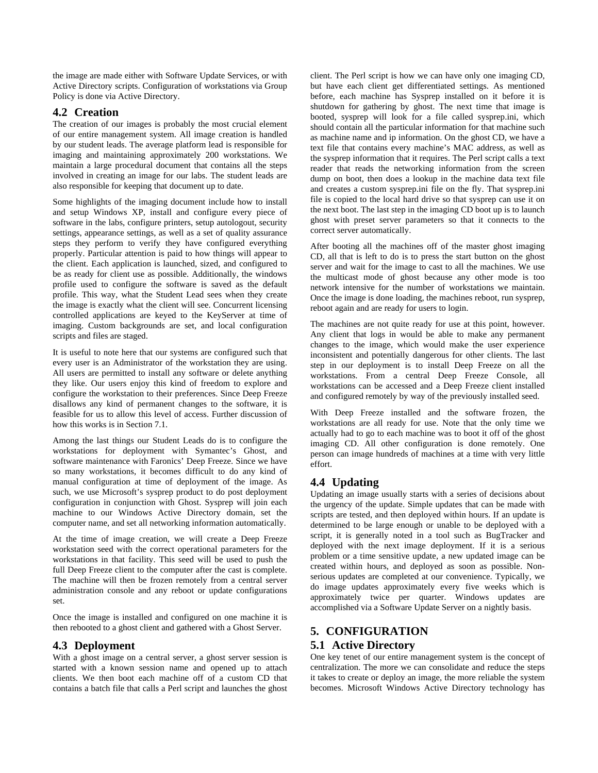the image are made either with Software Update Services, or with Active Directory scripts. Configuration of workstations via Group Policy is done via Active Directory.

## **4.2 Creation**

The creation of our images is probably the most crucial element of our entire management system. All image creation is handled by our student leads. The average platform lead is responsible for imaging and maintaining approximately 200 workstations. We maintain a large procedural document that contains all the steps involved in creating an image for our labs. The student leads are also responsible for keeping that document up to date.

Some highlights of the imaging document include how to install and setup Windows XP, install and configure every piece of software in the labs, configure printers, setup autologout, security settings, appearance settings, as well as a set of quality assurance steps they perform to verify they have configured everything properly. Particular attention is paid to how things will appear to the client. Each application is launched, sized, and configured to be as ready for client use as possible. Additionally, the windows profile used to configure the software is saved as the default profile. This way, what the Student Lead sees when they create the image is exactly what the client will see. Concurrent licensing controlled applications are keyed to the KeyServer at time of imaging. Custom backgrounds are set, and local configuration scripts and files are staged.

It is useful to note here that our systems are configured such that every user is an Administrator of the workstation they are using. All users are permitted to install any software or delete anything they like. Our users enjoy this kind of freedom to explore and configure the workstation to their preferences. Since Deep Freeze disallows any kind of permanent changes to the software, it is feasible for us to allow this level of access. Further discussion of how this works is in Section 7.1.

Among the last things our Student Leads do is to configure the workstations for deployment with Symantec's Ghost, and software maintenance with Faronics' Deep Freeze. Since we have so many workstations, it becomes difficult to do any kind of manual configuration at time of deployment of the image. As such, we use Microsoft's sysprep product to do post deployment configuration in conjunction with Ghost. Sysprep will join each machine to our Windows Active Directory domain, set the computer name, and set all networking information automatically.

At the time of image creation, we will create a Deep Freeze workstation seed with the correct operational parameters for the workstations in that facility. This seed will be used to push the full Deep Freeze client to the computer after the cast is complete. The machine will then be frozen remotely from a central server administration console and any reboot or update configurations set.

Once the image is installed and configured on one machine it is then rebooted to a ghost client and gathered with a Ghost Server.

# **4.3 Deployment**

With a ghost image on a central server, a ghost server session is started with a known session name and opened up to attach clients. We then boot each machine off of a custom CD that contains a batch file that calls a Perl script and launches the ghost client. The Perl script is how we can have only one imaging CD, but have each client get differentiated settings. As mentioned before, each machine has Sysprep installed on it before it is shutdown for gathering by ghost. The next time that image is booted, sysprep will look for a file called sysprep.ini, which should contain all the particular information for that machine such as machine name and ip information. On the ghost CD, we have a text file that contains every machine's MAC address, as well as the sysprep information that it requires. The Perl script calls a text reader that reads the networking information from the screen dump on boot, then does a lookup in the machine data text file and creates a custom sysprep.ini file on the fly. That sysprep.ini file is copied to the local hard drive so that sysprep can use it on the next boot. The last step in the imaging CD boot up is to launch ghost with preset server parameters so that it connects to the correct server automatically.

After booting all the machines off of the master ghost imaging CD, all that is left to do is to press the start button on the ghost server and wait for the image to cast to all the machines. We use the multicast mode of ghost because any other mode is too network intensive for the number of workstations we maintain. Once the image is done loading, the machines reboot, run sysprep, reboot again and are ready for users to login.

The machines are not quite ready for use at this point, however. Any client that logs in would be able to make any permanent changes to the image, which would make the user experience inconsistent and potentially dangerous for other clients. The last step in our deployment is to install Deep Freeze on all the workstations. From a central Deep Freeze Console, all workstations can be accessed and a Deep Freeze client installed and configured remotely by way of the previously installed seed.

With Deep Freeze installed and the software frozen, the workstations are all ready for use. Note that the only time we actually had to go to each machine was to boot it off of the ghost imaging CD. All other configuration is done remotely. One person can image hundreds of machines at a time with very little effort.

# **4.4 Updating**

Updating an image usually starts with a series of decisions about the urgency of the update. Simple updates that can be made with scripts are tested, and then deployed within hours. If an update is determined to be large enough or unable to be deployed with a script, it is generally noted in a tool such as BugTracker and deployed with the next image deployment. If it is a serious problem or a time sensitive update, a new updated image can be created within hours, and deployed as soon as possible. Nonserious updates are completed at our convenience. Typically, we do image updates approximately every five weeks which is approximately twice per quarter. Windows updates are accomplished via a Software Update Server on a nightly basis.

# **5. CONFIGURATION**

# **5.1 Active Directory**

One key tenet of our entire management system is the concept of centralization. The more we can consolidate and reduce the steps it takes to create or deploy an image, the more reliable the system becomes. Microsoft Windows Active Directory technology has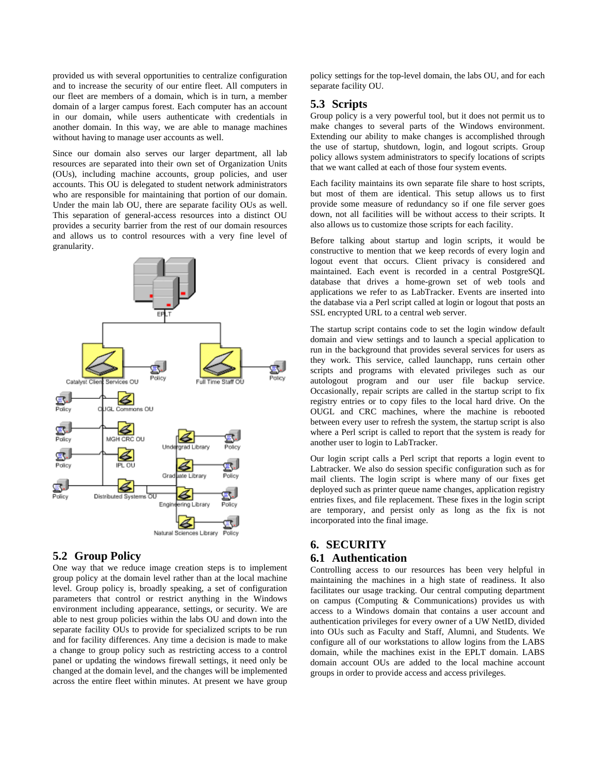provided us with several opportunities to centralize configuration and to increase the security of our entire fleet. All computers in our fleet are members of a domain, which is in turn, a member domain of a larger campus forest. Each computer has an account in our domain, while users authenticate with credentials in another domain. In this way, we are able to manage machines without having to manage user accounts as well.

Since our domain also serves our larger department, all lab resources are separated into their own set of Organization Units (OUs), including machine accounts, group policies, and user accounts. This OU is delegated to student network administrators who are responsible for maintaining that portion of our domain. Under the main lab OU, there are separate facility OUs as well. This separation of general-access resources into a distinct OU provides a security barrier from the rest of our domain resources and allows us to control resources with a very fine level of granularity.



## **5.2 Group Policy**

One way that we reduce image creation steps is to implement group policy at the domain level rather than at the local machine level. Group policy is, broadly speaking, a set of configuration parameters that control or restrict anything in the Windows environment including appearance, settings, or security. We are able to nest group policies within the labs OU and down into the separate facility OUs to provide for specialized scripts to be run and for facility differences. Any time a decision is made to make a change to group policy such as restricting access to a control panel or updating the windows firewall settings, it need only be changed at the domain level, and the changes will be implemented across the entire fleet within minutes. At present we have group

policy settings for the top-level domain, the labs OU, and for each separate facility OU.

# **5.3 Scripts**

Group policy is a very powerful tool, but it does not permit us to make changes to several parts of the Windows environment. Extending our ability to make changes is accomplished through the use of startup, shutdown, login, and logout scripts. Group policy allows system administrators to specify locations of scripts that we want called at each of those four system events.

Each facility maintains its own separate file share to host scripts, but most of them are identical. This setup allows us to first provide some measure of redundancy so if one file server goes down, not all facilities will be without access to their scripts. It also allows us to customize those scripts for each facility.

Before talking about startup and login scripts, it would be constructive to mention that we keep records of every login and logout event that occurs. Client privacy is considered and maintained. Each event is recorded in a central PostgreSQL database that drives a home-grown set of web tools and applications we refer to as LabTracker. Events are inserted into the database via a Perl script called at login or logout that posts an SSL encrypted URL to a central web server.

The startup script contains code to set the login window default domain and view settings and to launch a special application to run in the background that provides several services for users as they work. This service, called launchapp, runs certain other scripts and programs with elevated privileges such as our autologout program and our user file backup service. Occasionally, repair scripts are called in the startup script to fix registry entries or to copy files to the local hard drive. On the OUGL and CRC machines, where the machine is rebooted between every user to refresh the system, the startup script is also where a Perl script is called to report that the system is ready for another user to login to LabTracker.

Our login script calls a Perl script that reports a login event to Labtracker. We also do session specific configuration such as for mail clients. The login script is where many of our fixes get deployed such as printer queue name changes, application registry entries fixes, and file replacement. These fixes in the login script are temporary, and persist only as long as the fix is not incorporated into the final image.

# **6. SECURITY**

# **6.1 Authentication**

Controlling access to our resources has been very helpful in maintaining the machines in a high state of readiness. It also facilitates our usage tracking. Our central computing department on campus (Computing & Communications) provides us with access to a Windows domain that contains a user account and authentication privileges for every owner of a UW NetID, divided into OUs such as Faculty and Staff, Alumni, and Students. We configure all of our workstations to allow logins from the LABS domain, while the machines exist in the EPLT domain. LABS domain account OUs are added to the local machine account groups in order to provide access and access privileges.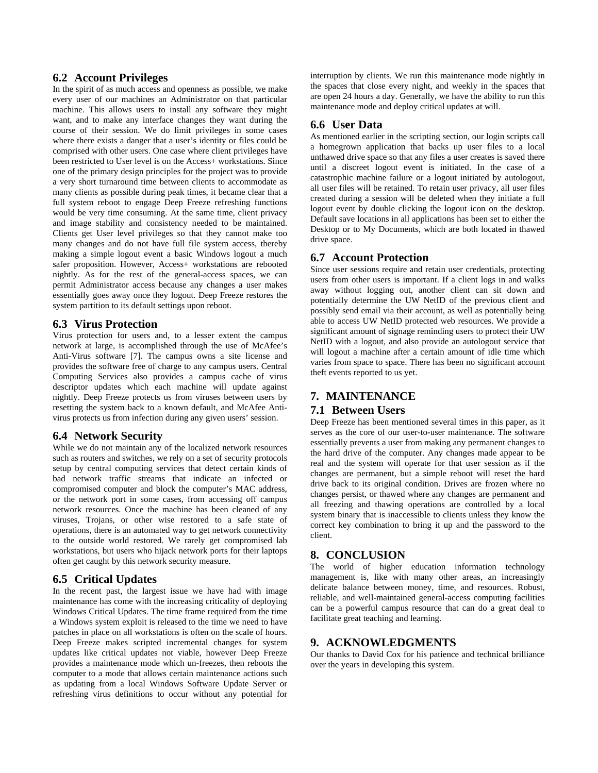#### **6.2 Account Privileges**

In the spirit of as much access and openness as possible, we make every user of our machines an Administrator on that particular machine. This allows users to install any software they might want, and to make any interface changes they want during the course of their session. We do limit privileges in some cases where there exists a danger that a user's identity or files could be comprised with other users. One case where client privileges have been restricted to User level is on the Access+ workstations. Since one of the primary design principles for the project was to provide a very short turnaround time between clients to accommodate as many clients as possible during peak times, it became clear that a full system reboot to engage Deep Freeze refreshing functions would be very time consuming. At the same time, client privacy and image stability and consistency needed to be maintained. Clients get User level privileges so that they cannot make too many changes and do not have full file system access, thereby making a simple logout event a basic Windows logout a much safer proposition. However, Access+ workstations are rebooted nightly. As for the rest of the general-access spaces, we can permit Administrator access because any changes a user makes essentially goes away once they logout. Deep Freeze restores the system partition to its default settings upon reboot.

#### **6.3 Virus Protection**

Virus protection for users and, to a lesser extent the campus network at large, is accomplished through the use of McAfee's Anti-Virus software [7]. The campus owns a site license and provides the software free of charge to any campus users. Central Computing Services also provides a campus cache of virus descriptor updates which each machine will update against nightly. Deep Freeze protects us from viruses between users by resetting the system back to a known default, and McAfee Antivirus protects us from infection during any given users' session.

#### **6.4 Network Security**

While we do not maintain any of the localized network resources such as routers and switches, we rely on a set of security protocols setup by central computing services that detect certain kinds of bad network traffic streams that indicate an infected or compromised computer and block the computer's MAC address, or the network port in some cases, from accessing off campus network resources. Once the machine has been cleaned of any viruses, Trojans, or other wise restored to a safe state of operations, there is an automated way to get network connectivity to the outside world restored. We rarely get compromised lab workstations, but users who hijack network ports for their laptops often get caught by this network security measure.

#### **6.5 Critical Updates**

In the recent past, the largest issue we have had with image maintenance has come with the increasing criticality of deploying Windows Critical Updates. The time frame required from the time a Windows system exploit is released to the time we need to have patches in place on all workstations is often on the scale of hours. Deep Freeze makes scripted incremental changes for system updates like critical updates not viable, however Deep Freeze provides a maintenance mode which un-freezes, then reboots the computer to a mode that allows certain maintenance actions such as updating from a local Windows Software Update Server or refreshing virus definitions to occur without any potential for

interruption by clients. We run this maintenance mode nightly in the spaces that close every night, and weekly in the spaces that are open 24 hours a day. Generally, we have the ability to run this maintenance mode and deploy critical updates at will.

#### **6.6 User Data**

As mentioned earlier in the scripting section, our login scripts call a homegrown application that backs up user files to a local unthawed drive space so that any files a user creates is saved there until a discreet logout event is initiated. In the case of a catastrophic machine failure or a logout initiated by autologout, all user files will be retained. To retain user privacy, all user files created during a session will be deleted when they initiate a full logout event by double clicking the logout icon on the desktop. Default save locations in all applications has been set to either the Desktop or to My Documents, which are both located in thawed drive space.

#### **6.7 Account Protection**

Since user sessions require and retain user credentials, protecting users from other users is important. If a client logs in and walks away without logging out, another client can sit down and potentially determine the UW NetID of the previous client and possibly send email via their account, as well as potentially being able to access UW NetID protected web resources. We provide a significant amount of signage reminding users to protect their UW NetID with a logout, and also provide an autologout service that will logout a machine after a certain amount of idle time which varies from space to space. There has been no significant account theft events reported to us yet.

## **7. MAINTENANCE**

#### **7.1 Between Users**

Deep Freeze has been mentioned several times in this paper, as it serves as the core of our user-to-user maintenance. The software essentially prevents a user from making any permanent changes to the hard drive of the computer. Any changes made appear to be real and the system will operate for that user session as if the changes are permanent, but a simple reboot will reset the hard drive back to its original condition. Drives are frozen where no changes persist, or thawed where any changes are permanent and all freezing and thawing operations are controlled by a local system binary that is inaccessible to clients unless they know the correct key combination to bring it up and the password to the client.

#### **8. CONCLUSION**

The world of higher education information technology management is, like with many other areas, an increasingly delicate balance between money, time, and resources. Robust, reliable, and well-maintained general-access computing facilities can be a powerful campus resource that can do a great deal to facilitate great teaching and learning.

#### **9. ACKNOWLEDGMENTS**

Our thanks to David Cox for his patience and technical brilliance over the years in developing this system.